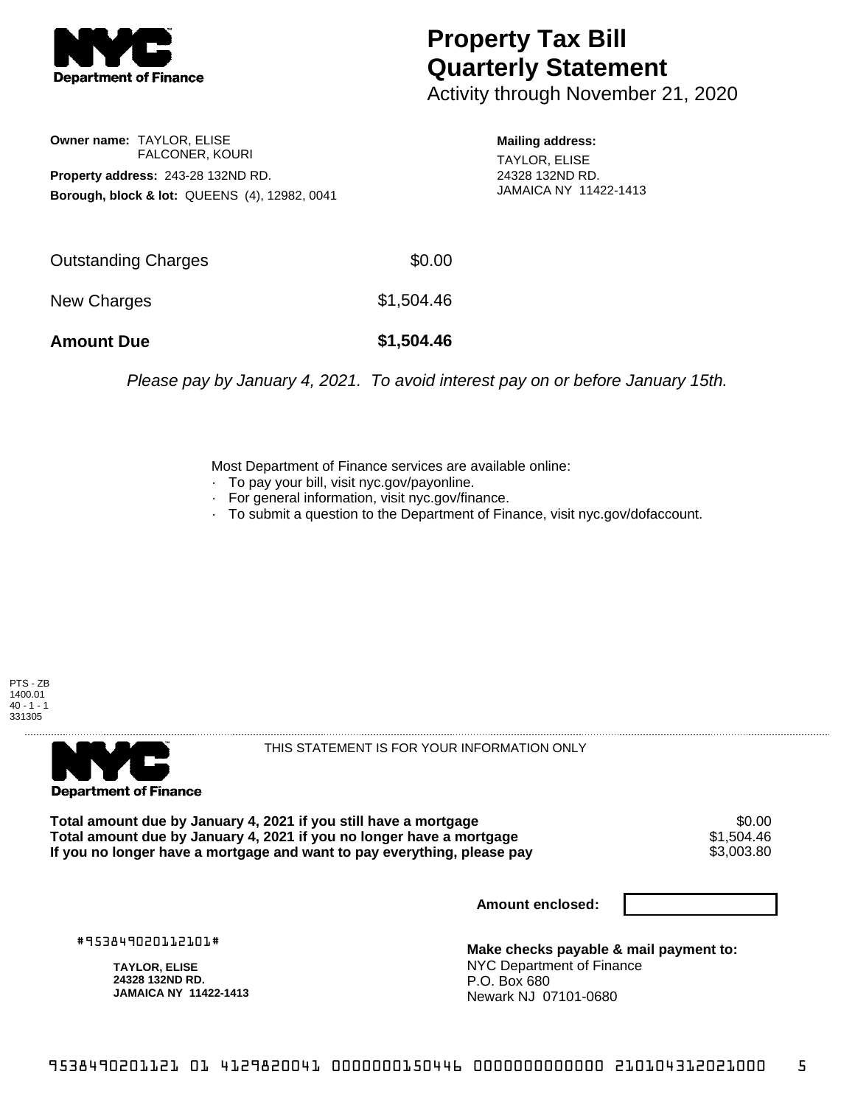

## **Property Tax Bill Quarterly Statement**

Activity through November 21, 2020

**Owner name:** TAYLOR, ELISE FALCONER, KOURI **Property address:** 243-28 132ND RD. **Borough, block & lot:** QUEENS (4), 12982, 0041 **Mailing address:**

TAYLOR, ELISE 24328 132ND RD. JAMAICA NY 11422-1413

| <b>Amount Due</b>   | \$1,504.46 |
|---------------------|------------|
| New Charges         | \$1,504.46 |
| Outstanding Charges | \$0.00     |

Please pay by January 4, 2021. To avoid interest pay on or before January 15th.

Most Department of Finance services are available online:

- · To pay your bill, visit nyc.gov/payonline.
- For general information, visit nyc.gov/finance.
- · To submit a question to the Department of Finance, visit nyc.gov/dofaccount.





THIS STATEMENT IS FOR YOUR INFORMATION ONLY

Total amount due by January 4, 2021 if you still have a mortgage \$0.00<br>Total amount due by January 4, 2021 if you no longer have a mortgage \$1.504.46 **Total amount due by January 4, 2021 if you no longer have a mortgage**  $$1,504.46$ **<br>If you no longer have a mortgage and want to pay everything, please pay**  $$3,003.80$ If you no longer have a mortgage and want to pay everything, please pay

**Amount enclosed:**

#953849020112101#

**TAYLOR, ELISE 24328 132ND RD. JAMAICA NY 11422-1413**

**Make checks payable & mail payment to:** NYC Department of Finance P.O. Box 680 Newark NJ 07101-0680